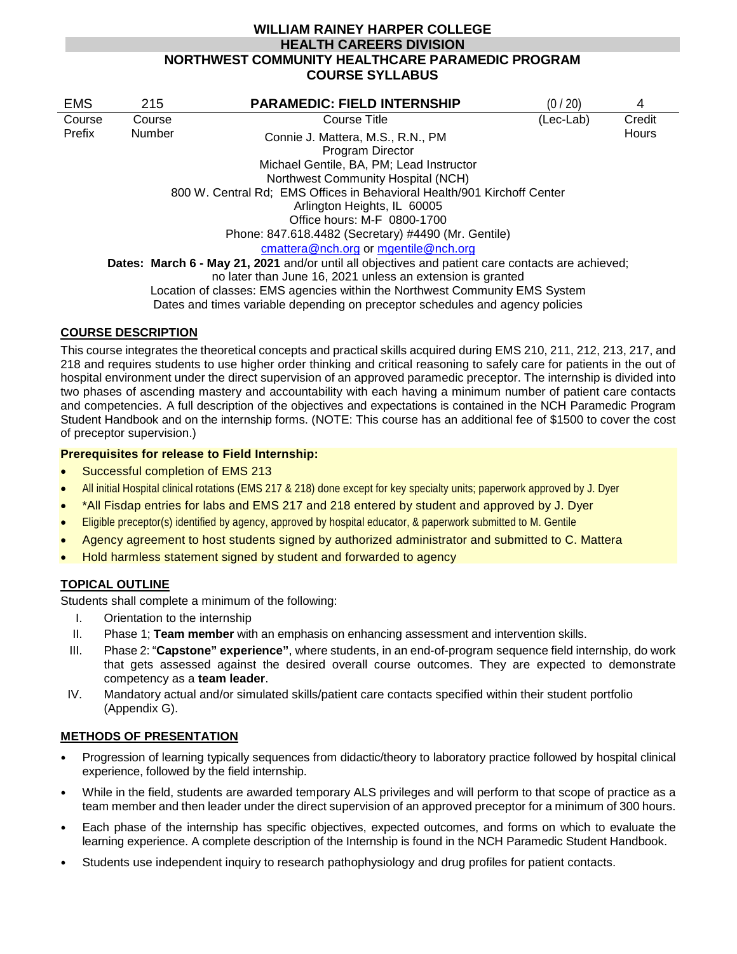# **WILLIAM RAINEY HARPER COLLEGE HEALTH CAREERS DIVISION NORTHWEST COMMUNITY HEALTHCARE PARAMEDIC PROGRAM COURSE SYLLABUS**

| <b>EMS</b>                                                                                                                                                                                                                                                                                                                      | 215    | <b>PARAMEDIC: FIELD INTERNSHIP</b>                                                                                                                                                                                                                | (0/20)    | 4      |
|---------------------------------------------------------------------------------------------------------------------------------------------------------------------------------------------------------------------------------------------------------------------------------------------------------------------------------|--------|---------------------------------------------------------------------------------------------------------------------------------------------------------------------------------------------------------------------------------------------------|-----------|--------|
| Course                                                                                                                                                                                                                                                                                                                          | Course | Course Title                                                                                                                                                                                                                                      | (Lec-Lab) | Credit |
| Prefix                                                                                                                                                                                                                                                                                                                          | Number | Connie J. Mattera, M.S., R.N., PM<br>Program Director<br>Michael Gentile, BA, PM; Lead Instructor<br>Northwest Community Hospital (NCH)<br>800 W. Central Rd; EMS Offices in Behavioral Health/901 Kirchoff Center<br>Arlington Heights, IL 60005 |           | Hours  |
|                                                                                                                                                                                                                                                                                                                                 |        | Office hours: M-F 0800-1700                                                                                                                                                                                                                       |           |        |
| Phone: 847.618.4482 (Secretary) #4490 (Mr. Gentile)                                                                                                                                                                                                                                                                             |        |                                                                                                                                                                                                                                                   |           |        |
| cmattera@nch.org or mgentile@nch.org                                                                                                                                                                                                                                                                                            |        |                                                                                                                                                                                                                                                   |           |        |
| Dates: March 6 - May 21, 2021 and/or until all objectives and patient care contacts are achieved;<br>no later than June 16, 2021 unless an extension is granted<br>Location of classes: EMS agencies within the Northwest Community EMS System<br>Dates and times variable depending on preceptor schedules and agency policies |        |                                                                                                                                                                                                                                                   |           |        |

### **COURSE DESCRIPTION**

This course integrates the theoretical concepts and practical skills acquired during EMS 210, 211, 212, 213, 217, and 218 and requires students to use higher order thinking and critical reasoning to safely care for patients in the out of hospital environment under the direct supervision of an approved paramedic preceptor. The internship is divided into two phases of ascending mastery and accountability with each having a minimum number of patient care contacts and competencies. A full description of the objectives and expectations is contained in the NCH Paramedic Program Student Handbook and on the internship forms. (NOTE: This course has an additional fee of \$1500 to cover the cost of preceptor supervision.)

## **Prerequisites for release to Field Internship:**

- Successful completion of EMS 213
- All initial Hospital clinical rotations (EMS 217 & 218) done except for key specialty units; paperwork approved by J. Dyer
- \*All Fisdap entries for labs and EMS 217 and 218 entered by student and approved by J. Dyer
- Eligible preceptor(s) identified by agency, approved by hospital educator, & paperwork submitted to M. Gentile
- Agency agreement to host students signed by authorized administrator and submitted to C. Mattera
- Hold harmless statement signed by student and forwarded to agency

# **TOPICAL OUTLINE**

Students shall complete a minimum of the following:

- I. Orientation to the internship
- II. Phase 1; **Team member** with an emphasis on enhancing assessment and intervention skills.
- III. Phase 2: "**Capstone" experience"**, where students, in an end-of-program sequence field internship, do work that gets assessed against the desired overall course outcomes. They are expected to demonstrate competency as a **team leader**.
- IV. Mandatory actual and/or simulated skills/patient care contacts specified within their student portfolio (Appendix G).

### **METHODS OF PRESENTATION**

- Progression of learning typically sequences from didactic/theory to laboratory practice followed by hospital clinical experience, followed by the field internship.
- While in the field, students are awarded temporary ALS privileges and will perform to that scope of practice as a team member and then leader under the direct supervision of an approved preceptor for a minimum of 300 hours.
- Each phase of the internship has specific objectives, expected outcomes, and forms on which to evaluate the learning experience. A complete description of the Internship is found in the NCH Paramedic Student Handbook.
- Students use independent inquiry to research pathophysiology and drug profiles for patient contacts.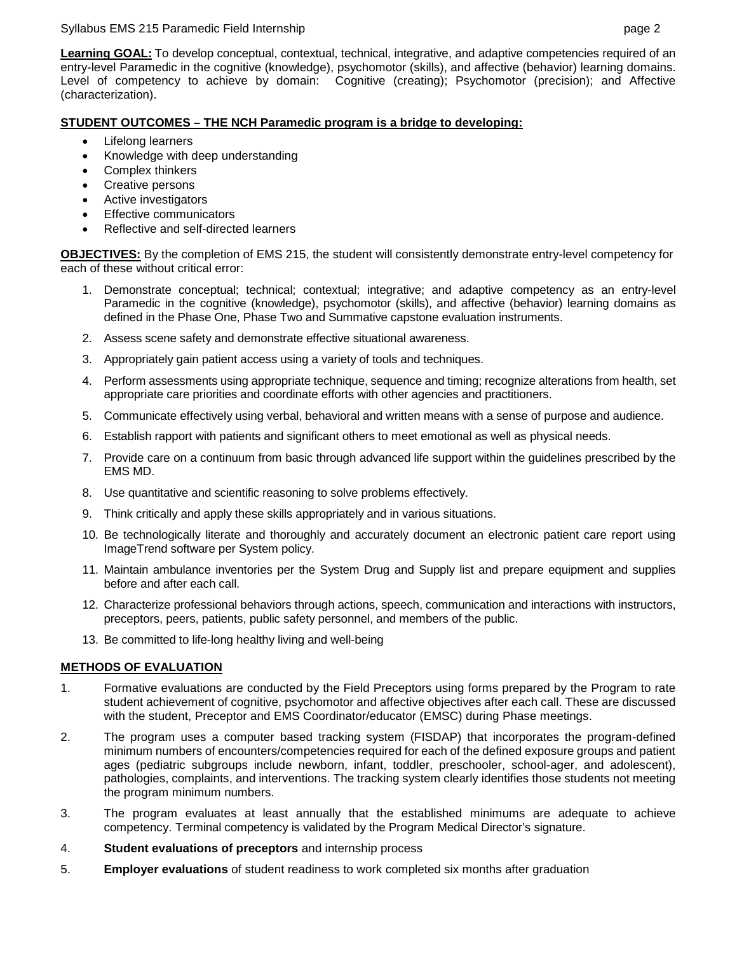#### Syllabus EMS 215 Paramedic Field Internship page 2

**Learning GOAL:** To develop conceptual, contextual, technical, integrative, and adaptive competencies required of an entry-level Paramedic in the cognitive (knowledge), psychomotor (skills), and affective (behavior) learning domains. Level of competency to achieve by domain: Cognitive (creating); Psychomotor (precision); and Affective (characterization).

#### **STUDENT OUTCOMES – THE NCH Paramedic program is a bridge to developing:**

- Lifelong learners
- Knowledge with deep understanding
- Complex thinkers
- Creative persons
- Active investigators
- **Effective communicators**
- Reflective and self-directed learners

**OBJECTIVES:** By the completion of EMS 215, the student will consistently demonstrate entry-level competency for each of these without critical error:

- 1. Demonstrate conceptual; technical; contextual; integrative; and adaptive competency as an entry-level Paramedic in the cognitive (knowledge), psychomotor (skills), and affective (behavior) learning domains as defined in the Phase One, Phase Two and Summative capstone evaluation instruments.
- 2. Assess scene safety and demonstrate effective situational awareness.
- 3. Appropriately gain patient access using a variety of tools and techniques.
- 4. Perform assessments using appropriate technique, sequence and timing; recognize alterations from health, set appropriate care priorities and coordinate efforts with other agencies and practitioners.
- 5. Communicate effectively using verbal, behavioral and written means with a sense of purpose and audience.
- 6. Establish rapport with patients and significant others to meet emotional as well as physical needs.
- 7. Provide care on a continuum from basic through advanced life support within the guidelines prescribed by the EMS MD.
- 8. Use quantitative and scientific reasoning to solve problems effectively.
- 9. Think critically and apply these skills appropriately and in various situations.
- 10. Be technologically literate and thoroughly and accurately document an electronic patient care report using ImageTrend software per System policy.
- 11. Maintain ambulance inventories per the System Drug and Supply list and prepare equipment and supplies before and after each call.
- 12. Characterize professional behaviors through actions, speech, communication and interactions with instructors, preceptors, peers, patients, public safety personnel, and members of the public.
- 13. Be committed to life-long healthy living and well-being

### **METHODS OF EVALUATION**

- 1. Formative evaluations are conducted by the Field Preceptors using forms prepared by the Program to rate student achievement of cognitive, psychomotor and affective objectives after each call. These are discussed with the student, Preceptor and EMS Coordinator/educator (EMSC) during Phase meetings.
- 2. The program uses a computer based tracking system (FISDAP) that incorporates the program-defined minimum numbers of encounters/competencies required for each of the defined exposure groups and patient ages (pediatric subgroups include newborn, infant, toddler, preschooler, school-ager, and adolescent), pathologies, complaints, and interventions. The tracking system clearly identifies those students not meeting the program minimum numbers.
- 3. The program evaluates at least annually that the established minimums are adequate to achieve competency. Terminal competency is validated by the Program Medical Director's signature.
- 4. **Student evaluations of preceptors** and internship process
- 5. **Employer evaluations** of student readiness to work completed six months after graduation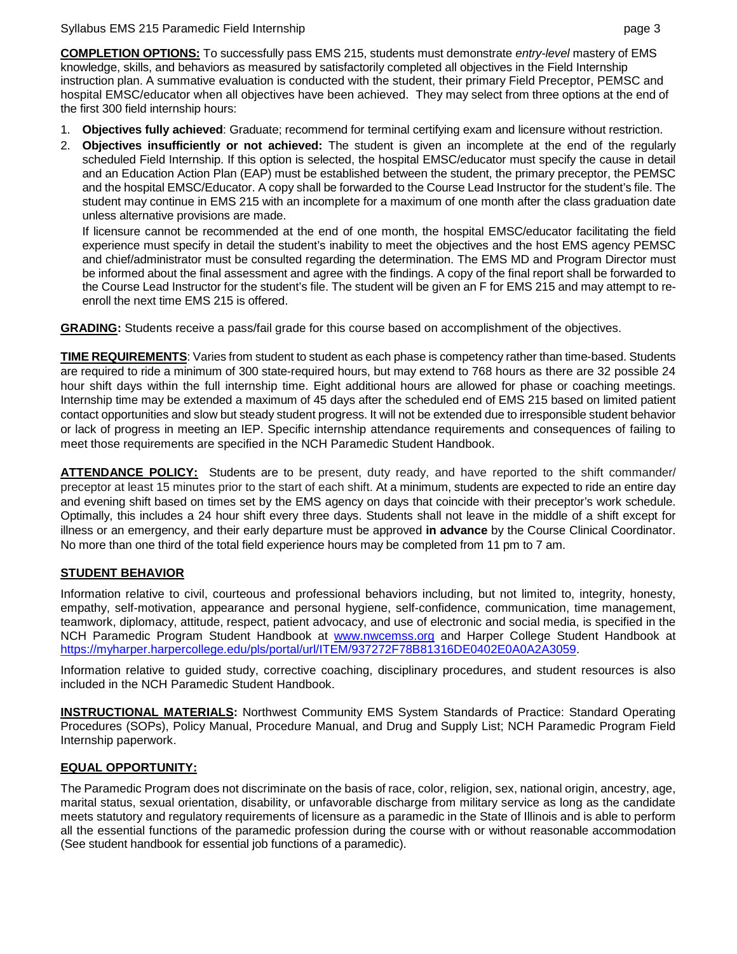#### Syllabus EMS 215 Paramedic Field Internship page 3

**COMPLETION OPTIONS:** To successfully pass EMS 215, students must demonstrate *entry-level* mastery of EMS knowledge, skills, and behaviors as measured by satisfactorily completed all objectives in the Field Internship instruction plan. A summative evaluation is conducted with the student, their primary Field Preceptor, PEMSC and hospital EMSC/educator when all objectives have been achieved. They may select from three options at the end of the first 300 field internship hours:

- 1. **Objectives fully achieved**: Graduate; recommend for terminal certifying exam and licensure without restriction.
- 2. **Objectives insufficiently or not achieved:** The student is given an incomplete at the end of the regularly scheduled Field Internship. If this option is selected, the hospital EMSC/educator must specify the cause in detail and an Education Action Plan (EAP) must be established between the student, the primary preceptor, the PEMSC and the hospital EMSC/Educator. A copy shall be forwarded to the Course Lead Instructor for the student's file. The student may continue in EMS 215 with an incomplete for a maximum of one month after the class graduation date unless alternative provisions are made.

If licensure cannot be recommended at the end of one month, the hospital EMSC/educator facilitating the field experience must specify in detail the student's inability to meet the objectives and the host EMS agency PEMSC and chief/administrator must be consulted regarding the determination. The EMS MD and Program Director must be informed about the final assessment and agree with the findings. A copy of the final report shall be forwarded to the Course Lead Instructor for the student's file. The student will be given an F for EMS 215 and may attempt to reenroll the next time EMS 215 is offered.

**GRADING:** Students receive a pass/fail grade for this course based on accomplishment of the objectives.

**TIME REQUIREMENTS**: Varies from student to student as each phase is competency rather than time-based. Students are required to ride a minimum of 300 state-required hours, but may extend to 768 hours as there are 32 possible 24 hour shift days within the full internship time. Eight additional hours are allowed for phase or coaching meetings. Internship time may be extended a maximum of 45 days after the scheduled end of EMS 215 based on limited patient contact opportunities and slow but steady student progress. It will not be extended due to irresponsible student behavior or lack of progress in meeting an IEP. Specific internship attendance requirements and consequences of failing to meet those requirements are specified in the NCH Paramedic Student Handbook.

**ATTENDANCE POLICY:** Students are to be present, duty ready, and have reported to the shift commander/ preceptor at least 15 minutes prior to the start of each shift. At a minimum, students are expected to ride an entire day and evening shift based on times set by the EMS agency on days that coincide with their preceptor's work schedule. Optimally, this includes a 24 hour shift every three days. Students shall not leave in the middle of a shift except for illness or an emergency, and their early departure must be approved **in advance** by the Course Clinical Coordinator. No more than one third of the total field experience hours may be completed from 11 pm to 7 am.

### **STUDENT BEHAVIOR**

Information relative to civil, courteous and professional behaviors including, but not limited to, integrity, honesty, empathy, self-motivation, appearance and personal hygiene, self-confidence, communication, time management, teamwork, diplomacy, attitude, respect, patient advocacy, and use of electronic and social media, is specified in the NCH Paramedic Program Student Handbook at [www.nwcemss.org](http://www.nwcemss.org/) and Harper College Student Handbook at [https://myharper.harpercollege.edu/pls/portal/url/ITEM/937272F78B81316DE0402E0A0A2A3059.](https://myharper.harpercollege.edu/pls/portal/url/ITEM/937272F78B81316DE0402E0A0A2A3059)

Information relative to guided study, corrective coaching, disciplinary procedures, and student resources is also included in the NCH Paramedic Student Handbook.

**INSTRUCTIONAL MATERIALS:** Northwest Community EMS System Standards of Practice: Standard Operating Procedures (SOPs), Policy Manual, Procedure Manual, and Drug and Supply List; NCH Paramedic Program Field Internship paperwork.

### **EQUAL OPPORTUNITY:**

The Paramedic Program does not discriminate on the basis of race, color, religion, sex, national origin, ancestry, age, marital status, sexual orientation, disability, or unfavorable discharge from military service as long as the candidate meets statutory and regulatory requirements of licensure as a paramedic in the State of Illinois and is able to perform all the essential functions of the paramedic profession during the course with or without reasonable accommodation (See student handbook for essential job functions of a paramedic).